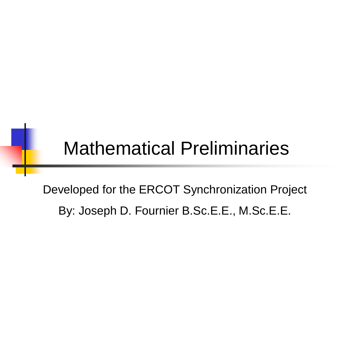### Mathematical Preliminaries

Developed for the ERCOT Synchronization Project By: Joseph D. Fournier B.Sc.E.E., M.Sc.E.E.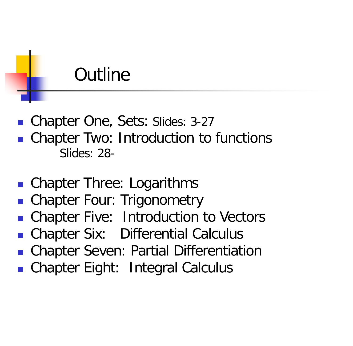#### **Outline**

- Chapter One, Sets: Slides: 3-27
- **Chapter Two: Introduction to functions** Slides: 28-
- Chapter Three: Logarithms
- Chapter Four: Trigonometry
- Chapter Five: Introduction to Vectors
- Chapter Six: Differential Calculus
- **EXA** Chapter Seven: Partial Differentiation
- Chapter Eight: Integral Calculus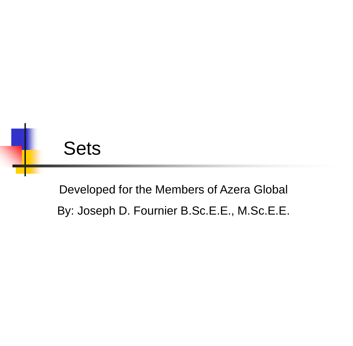

Developed for the Members of Azera Global By: Joseph D. Fournier B.Sc.E.E., M.Sc.E.E.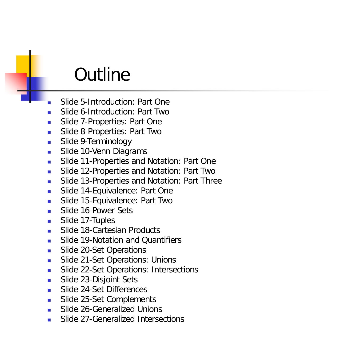#### **Outline**

- Slide 5-Introduction: Part One
- Slide 6-Introduction: Part Two
- Slide 7-Properties: Part One
- **Slide 8-Properties: Part Two**
- **Slide 9-Terminology**
- **Slide 10-Venn Diagrams**
- **Slide 11-Properties and Notation: Part One**
- **Slide 12-Properties and Notation: Part Two**
- **Slide 13-Properties and Notation: Part Three**
- **Slide 14-Equivalence: Part One**
- **Slide 15-Equivalence: Part Two**
- Slide 16-Power Sets
- **Slide 17-Tuples**
- Slide 18-Cartesian Products
- **Slide 19-Notation and Quantifiers**
- Slide 20-Set Operations
- **Slide 21-Set Operations: Unions**
- **Slide 22-Set Operations: Intersections**
- **Slide 23-Disjoint Sets**
- Slide 24-Set Differences
- Slide 25-Set Complements
- Slide 26-Generalized Unions
- Slide 27-Generalized Intersections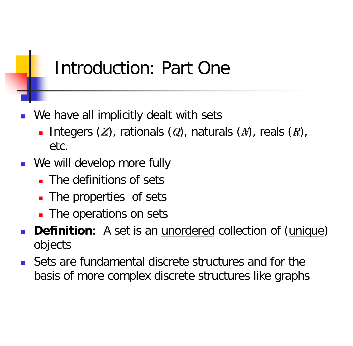#### Introduction: Part One

- We have all implicitly dealt with sets
	- Integers  $(Z)$ , rationals  $(Q)$ , naturals  $(N)$ , reals  $(R)$ , etc.
- **Notainal Memorial We will develop more fully** 
	- The definitions of sets
	- The properties of sets
	- **The operations on sets**
- **Definition**: A set is an *unordered* collection of (*unique*) objects
- Sets are fundamental discrete structures and for the basis of more complex discrete structures like graphs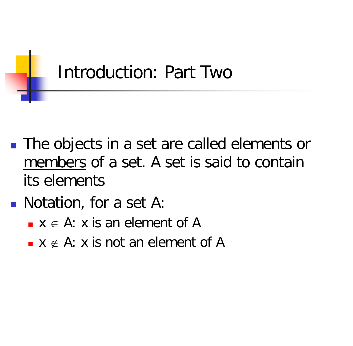

- **The objects in a set are called elements or** members of a set. A set is said to contain its elements
- **Notation, for a set A:** 
	- $x \in A$ : x is an element of A
	- $\bullet$  x  $\notin$  A: x is not an element of A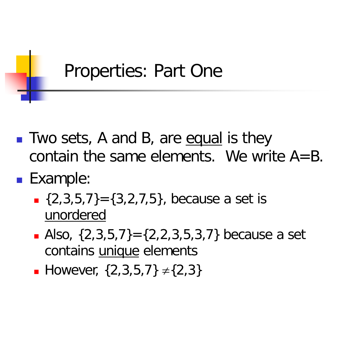### Properties: Part One

- Two sets, A and B, are equal is they contain the same elements. We write  $A = B$ .
- **Example:** 
	- $\{2,3,5,7\} = \{3,2,7,5\}$ , because a set is unordered
	- Also,  $\{2,3,5,7\} = \{2,2,3,5,3,7\}$  because a set contains unique elements
	- **However,**  $\{2,3,5,7\} \neq \{2,3\}$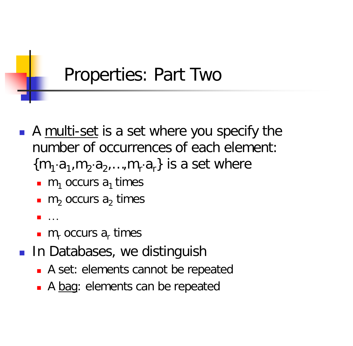#### Properties: Part Two

- A multi-set is a set where you specify the number of occurrences of each element:  ${m_1·a_1, m_2·a_2,...,m_r·a_r}$  is a set where
	- m<sub>1</sub> occurs  $a_1$  times
	- $\blacksquare$  m<sub>2</sub> occurs a<sub>2</sub> times
	- $\blacksquare$
	- $m_r$  occurs  $a_r$  times
- **In Databases, we distinguish** 
	- A set: elements cannot be repeated
	- A bag: elements can be repeated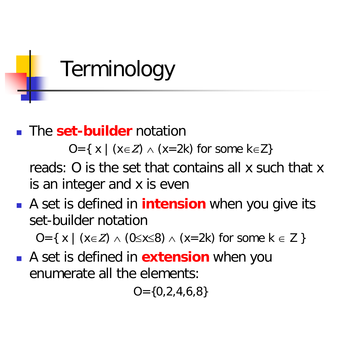# Terminology

#### **The set-builder** notation

O={ x | ( $x \in \mathbb{Z}$ )  $\wedge$  ( $x=2k$ ) for some k $\in \mathbb{Z}$ }

reads: O is the set that contains all x such that x is an integer and x is even

 A set is defined in **intension** when you give its set-builder notation

O={ x | ( $x \in \mathbb{Z}$ )  $\wedge$  ( $0 \le x \le 8$ )  $\wedge$  ( $x = 2k$ ) for some  $k \in \mathbb{Z}$  }

 A set is defined in **extension** when you enumerate all the elements:

 $Q = \{0, 2, 4, 6, 8\}$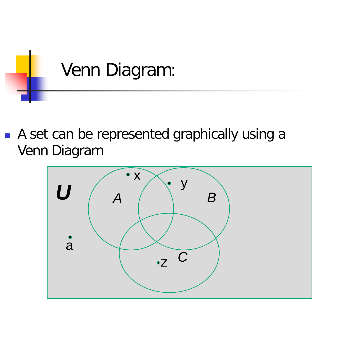

A set can be represented graphically using a Venn Diagram

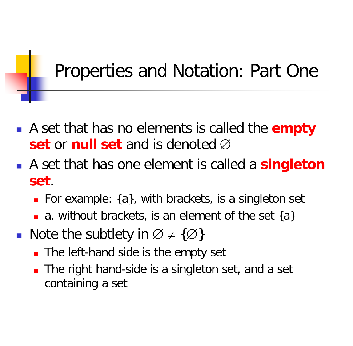### Properties and Notation: Part One

- A set that has no elements is called the **empty set** or **null set** and is denoted ∅
- A set that has one element is called a **singleton set**.
	- **For example:**  $\{a\}$ , with brackets, is a singleton set
	- a, without brackets, is an element of the set  $\{a\}$
- Note the subtlety in  $\emptyset \neq \{\emptyset\}$ 
	- The left-hand side is the empty set
	- The right hand-side is a singleton set, and a set containing a set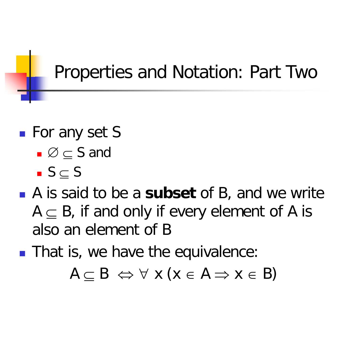### Properties and Notation: Part Two

- **For any set S** 
	- $\Box$   $\varnothing \subset S$  and
	- $S \subset S$
- A is said to be a **subset** of B, and we write  $A \subseteq B$ , if and only if every element of A is also an element of B
- **That is, we have the equivalence:**

 $A \subset B \iff \forall \times (x \in A \implies x \in B)$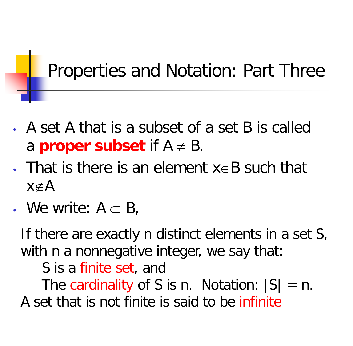Properties and Notation: Part Three

- A set A that is a subset of a set B is called a **proper subset** if  $A \neq B$ .
- That is there is an element x∈B such that x∉A
- We write:  $A \subset B$ ,

If there are exactly n distinct elements in a set S, with n a nonnegative integer, we say that:

S is a finite set, and

The cardinality of S is n. Notation:  $|S| = n$ . A set that is not finite is said to be infinite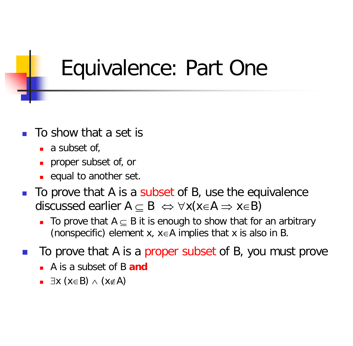## Equivalence: Part One

- To show that a set is
	- $\blacksquare$  a subset of,
	- **proper subset of, or**
	- $\blacksquare$  equal to another set.
- To prove that A is a subset of B, use the equivalence discussed earlier  $A \subset B \Leftrightarrow \forall x(x \in A \Rightarrow x \in B)$ 
	- To prove that  $A \subset B$  it is enough to show that for an arbitrary (nonspecific) element x,  $x \in A$  implies that x is also in B.
- To prove that A is a proper subset of B, you must prove
	- A is a subset of B **and**
	- $\blacksquare$   $\exists$ x (x∈B)  $\wedge$  (x∉A)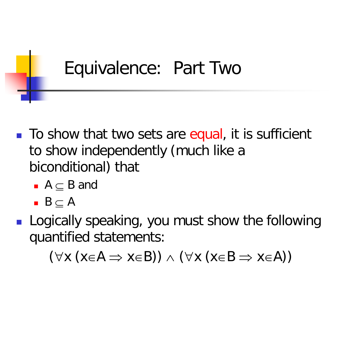#### Equivalence: Part Two

- To show that two sets are equal, it is sufficient to show independently (much like a biconditional) that
	- $A \subset B$  and
	- $\blacksquare$  B  $\subseteq$  A
- **Logically speaking, you must show the following** quantified statements:

 $(\forall x (x \in A \Rightarrow x \in B)) \land (\forall x (x \in B \Rightarrow x \in A))$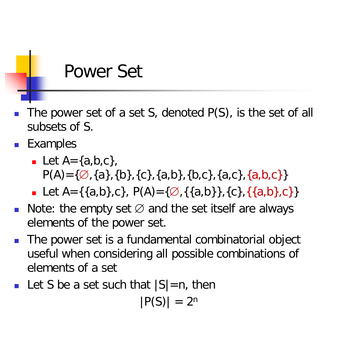#### Power Set

- The power set of a set S, denoted P(S), is the set of all subsets of S.
- **Examples** 
	- Let  $A = \{a,b,c\}$ ,  $P(A) = \{\emptyset, \{a\}, \{b\}, \{c\}, \{a,b\}, \{b,c\}, \{a,c\}, \{a,b,c\}\}\$
	- Let A={{a,b},c}, P(A)={ $\emptyset$ , {{a,b}}, {c}, {{a,b}, c}}
- Note: the empty set  $\varnothing$  and the set itself are always elements of the power set.
- The power set is a fundamental combinatorial object useful when considering all possible combinations of elements of a set
- Let S be a set such that  $|S|=n$ , then

 $|P(S)| = 2^n$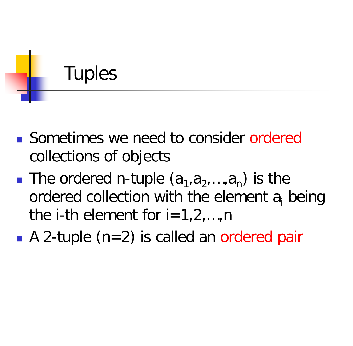## Tuples

- Sometimes we need to consider ordered collections of objects
- **The ordered n-tuple**  $(a_1, a_2, ..., a_n)$  **is the** ordered collection with the element  $a_i$  being the i-th element for  $i=1,2,...,n$
- A 2-tuple (n=2) is called an ordered pair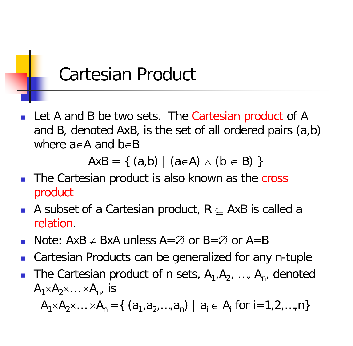#### Cartesian Product

 Let A and B be two sets. The Cartesian product of A and B, denoted AxB, is the set of all ordered pairs (a,b) where a∈A and b∈B

 $AxB = \{ (a,b) | (a \in A) \land (b \in B) \}$ 

- **The Cartesian product is also known as the cross** product
- A subset of a Cartesian product, R  $\subseteq$  AxB is called a relation.
- Note:  $AxB \neq BxA$  unless  $A=\emptyset$  or  $B=\emptyset$  or  $A=B$
- Cartesian Products can be generalized for any n-tuple
- The Cartesian product of n sets,  $A_1, A_2, ..., A_n$ , denoted  $A_1\times A_2\times ... \times A_n$ , is

 $A_1 \times A_2 \times ... \times A_n = \{ (a_1, a_2, ..., a_n) | a_i \in A_i \text{ for } i = 1, 2, ..., n \}$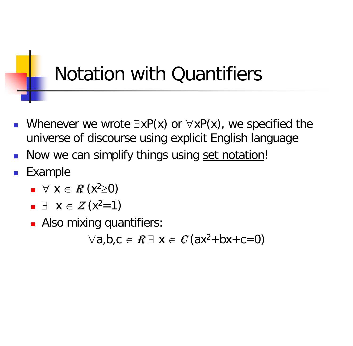## Notation with Quantifiers

- Whenever we wrote  $\exists xP(x)$  or  $\forall xP(x)$ , we specified the universe of discourse using explicit English language
- Now we can simplify things using set notation!
- Example
	- $\blacksquare$   $\forall$  X  $\in$  R (x<sup>2</sup> ≥0)
	- $\blacksquare$   $\exists$   $X \in Z(x^2=1)$
	- **Also mixing quantifiers:**

 $\forall a,b,c \in \mathbb{R} \exists x \in \mathbb{C}$  (ax<sup>2</sup>+bx+c=0)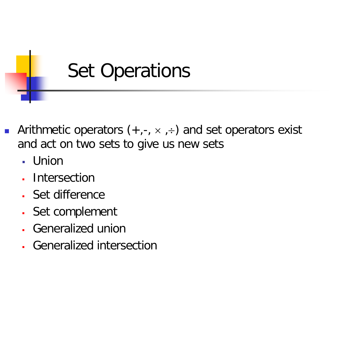

- Arithmetic operators  $(+,-, \times, \div)$  and set operators exist and act on two sets to give us new sets
	- Union
	- Intersection
	- Set difference
	- Set complement
	- Generalized union
	- Generalized intersection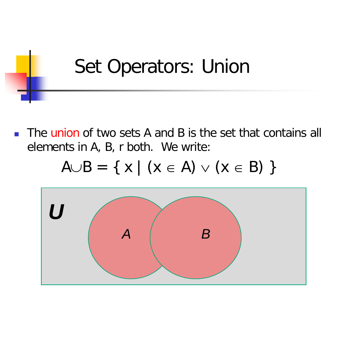## Set Operators: Union

The union of two sets A and B is the set that contains all elements in A, B, r both. We write:

$$
A \cup B = \{ x \mid (x \in A) \lor (x \in B) \}
$$

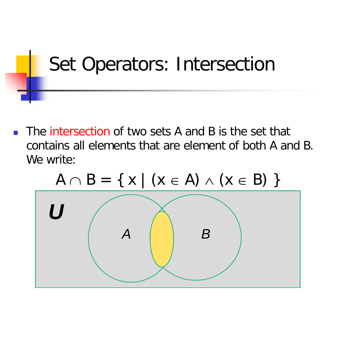# Set Operators: Intersection

**The intersection of two sets A and B is the set that** contains all elements that are element of both A and B. We write:



 $A \cap B = \{ x \mid (x \in A) \land (x \in B) \}$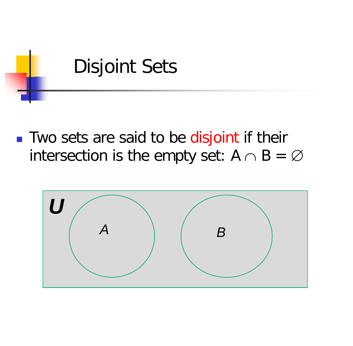

**Two sets are said to be disjoint if their** intersection is the empty set:  $A \cap B = \emptyset$ 

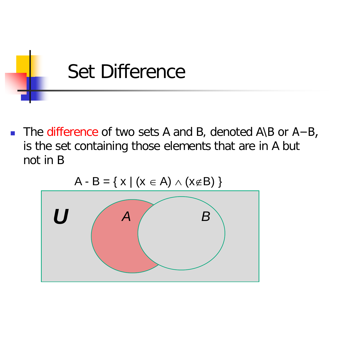

■ The difference of two sets A and B, denoted A\B or A-B, is the set containing those elements that are in A but not in B

$$
A-B=\{X \mid (X \in A) \land (X \notin B)\}
$$

A - B = {  $x + 1/x = 0$ } {  $(x + 0)$ }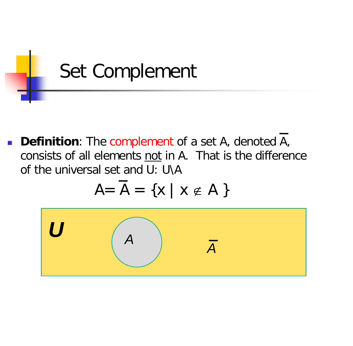

**Definition**: The complement of a set A, denoted A, consists of all elements not in A. That is the difference of the universal set and U: U\A

$$
A = \overline{A} = \{x \mid x \notin A\}
$$

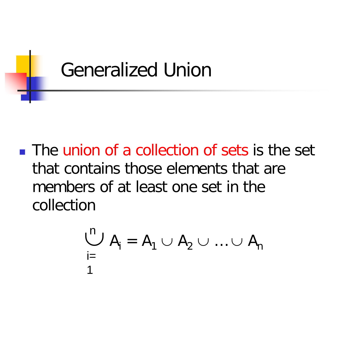

The union of a collection of sets is the set that contains those elements that are members of at least one set in the collection

$$
\bigcup_{i=1}^{n} A_i = A_1 \cup A_2 \cup \ldots \cup A_n
$$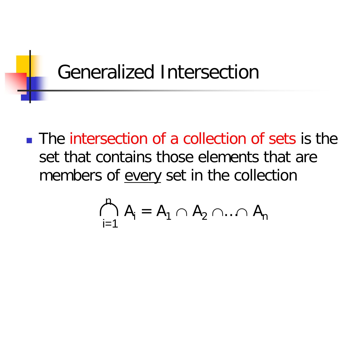### Generalized Intersection

**The intersection of a collection of sets is the** set that contains those elements that are members of every set in the collection

$$
\bigcap_{i=1}^n A_i = A_1 \cap A_2 \cap ... \cap A_n
$$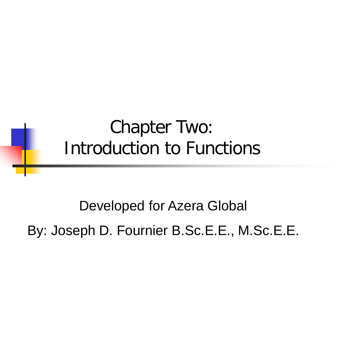#### Chapter Two: Introduction to Functions

Developed for Azera Global By: Joseph D. Fournier B.Sc.E.E., M.Sc.E.E.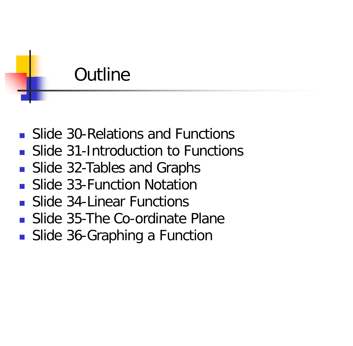### **Outline**

- **Slide 30-Relations and Functions**
- **Slide 31-Introduction to Functions**
- **Slide 32-Tables and Graphs**
- **Slide 33-Function Notation**
- **Slide 34-Linear Functions**
- **Slide 35-The Co-ordinate Plane**
- Slide 36-Graphing a Function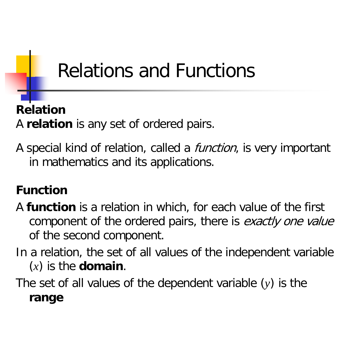### Relations and Functions

#### **Relation** A **relation** is any set of ordered pairs.

A special kind of relation, called a *function*, is very important in mathematics and its applications.

#### **Function**

- A **function** is a relation in which, for each value of the first component of the ordered pairs, there is exactly one value of the second component.
- In a relation, the set of all values of the independent variable (*x*) is the **domain**.

The set of all values of the dependent variable (*y*) is the **range**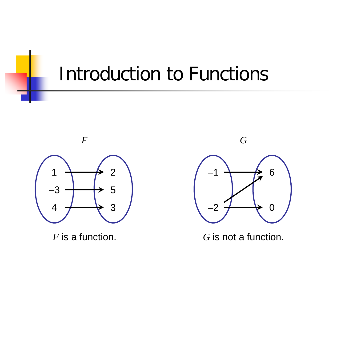#### Introduction to Functions



*F* is a function.





*G* is not a function.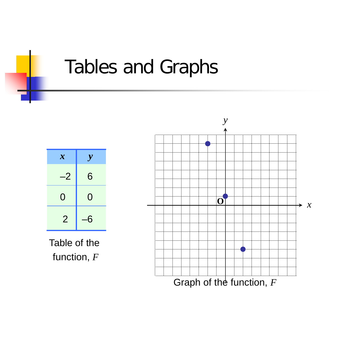### Tables and Graphs



Table of the function, *F*

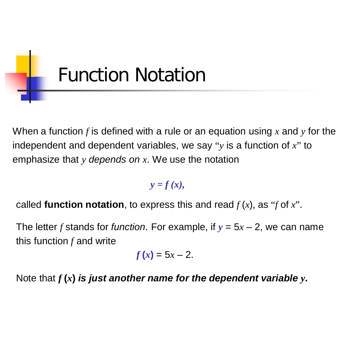

When a function *f* is defined with a rule or an equation using *x* and *y* for the independent and dependent variables, we say "*y* is a function of *x*" to emphasize that *y depends on x*. We use the notation

*y = f (x),*

called **function notation**, to express this and read  $f(x)$ , as "*f* of x".

The letter *f* stands for *function*. For example, if  $y = 5x - 2$ , we can name this function *f* and write

$$
f(x)=5x-2.
$$

Note that  $f(x)$  is just another name for the dependent variable  $y$ .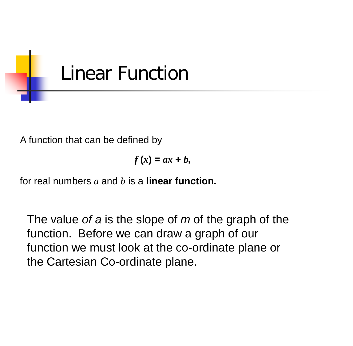

A function that can be defined by

$$
f(x) = ax + b,
$$

for real numbers *a* and *b* is a **linear function.** 

The value *of a* is the slope of *m* of the graph of the function. Before we can draw a graph of our function we must look at the co-ordinate plane or the Cartesian Co-ordinate plane.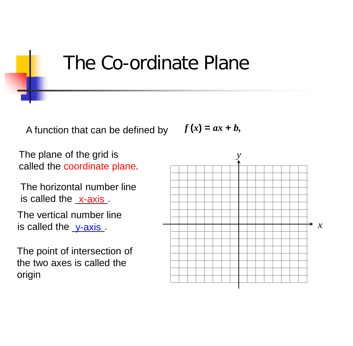#### The Co-ordinate Plane

A function that can be defined by  $f(x) = ax + b$ ,

The plane of the grid is called the coordinate plane.

The horizontal number line is called the x-axis.

The vertical number line is called the  $y-axis$ .</u>

The point of intersection of the two axes is called the origin

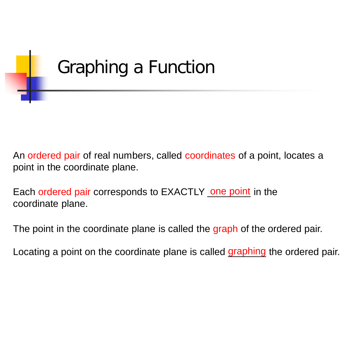

An ordered pair of real numbers, called coordinates of a point, locates a point in the coordinate plane.

Each ordered pair corresponds to EXACTLY one point in the coordinate plane.

The point in the coordinate plane is called the graph of the ordered pair.

Locating a point on the coordinate plane is called graphing the ordered pair.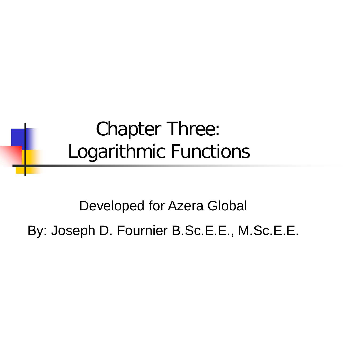#### Chapter Three: Logarithmic Functions

Developed for Azera Global

By: Joseph D. Fournier B.Sc.E.E., M.Sc.E.E.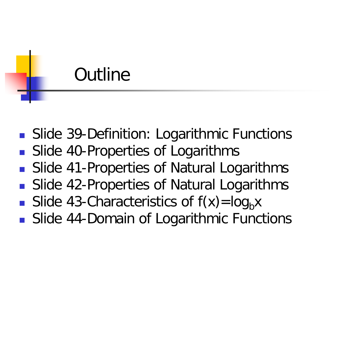#### **Outline**

- **Slide 39-Definition: Logarithmic Functions**
- Slide 40-Properties of Logarithms
- Slide 41-Properties of Natural Logarithms
- **Slide 42-Properties of Natural Logarithms**
- Slide 43-Characteristics of  $f(x) = log_b x$
- **Slide 44-Domain of Logarithmic Functions**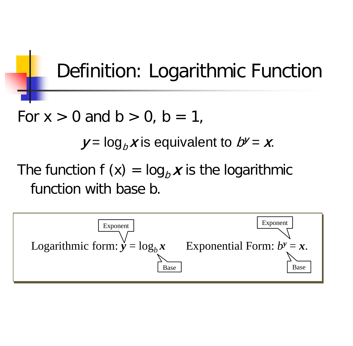## Definition: Logarithmic Function

For  $x > 0$  and  $b > 0$ ,  $b = 1$ ,

 $y = log_b x$  is equivalent to  $b^y = x$ .

The function  $f(x) = log_b x$  is the logarithmic function with base b.

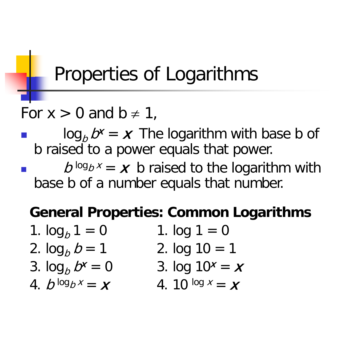## Properties of Logarithms

#### For  $x > 0$  and  $b \ne 1$ ,

 $\log_b D^x = x$  The logarithm with base b of b raised to a power equals that power.

 $b^{\log_b x} = x$  b raised to the logarithm with base b of a number equals that number.

#### **General Properties: Common Logarithms**

- 1.  $\log_b 1 = 0$  1.  $\log 1 = 0$ 2.  $\log_b b = 1$  2.  $\log 10 = 1$
- 3.  $\log_b b^x = 0$  3.  $\log 10^x = x$
- 
- 4. b  $\log_b x = x$  4. 10  $\log x = x$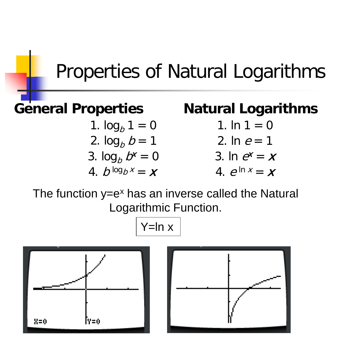#### Properties of Natural Logarithms

- 1.  $log_b 1 = 0$  1.  $ln 1 = 0$ 2.  $\log_b b = 1$  2. In  $e = 1$
- 3.  $\log_b b^x = 0$  3. In  $e^x = x$
- 4.  $b^{\log_b x} = x$  4.  $e^{\ln x} = x$

#### **General Properties Natural Logarithms**

- 
- 
- 

The function  $y=e^x$  has an inverse called the Natural Logarithmic Function.

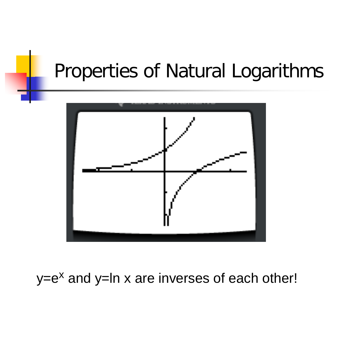#### Properties of Natural Logarithms



 $y=e^x$  and  $y=ln x$  are inverses of each other!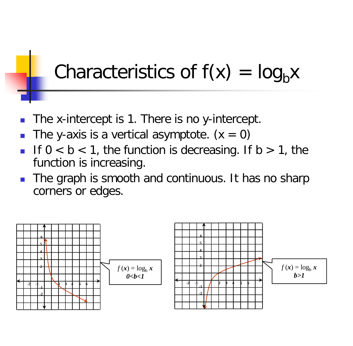### Characteristics of  $f(x) = log_b x$

- The x-intercept is 1. There is no y-intercept.
- The y-axis is a vertical asymptote.  $(x = 0)$
- If  $0 < b < 1$ , the function is decreasing. If  $b > 1$ , the function is increasing.
- The graph is smooth and continuous. It has no sharp corners or edges.

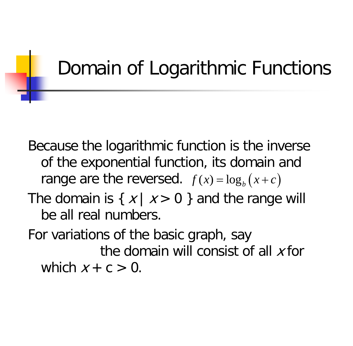## Domain of Logarithmic Functions

Because the logarithmic function is the inverse of the exponential function, its domain and range are the reversed.  $f(x) = \log_b(x+c)$ The domain is  $\{ x | x > 0 \}$  and the range will be all real numbers.

For variations of the basic graph, say the domain will consist of all  $x$  for which  $x + c > 0$ .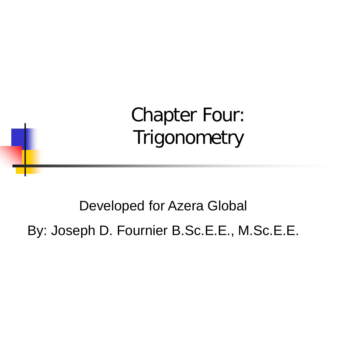Chapter Four: **Trigonometry** 

Developed for Azera Global By: Joseph D. Fournier B.Sc.E.E., M.Sc.E.E.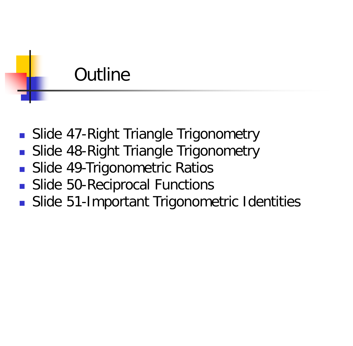#### **Outline**

- **Slide 47-Right Triangle Trigonometry**
- **Slide 48-Right Triangle Trigonometry**
- **Slide 49-Trigonometric Ratios**
- **Slide 50-Reciprocal Functions**
- Slide 51-Important Trigonometric Identities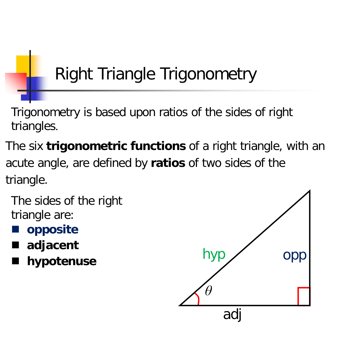## Right Triangle Trigonometry

Trigonometry is based upon ratios of the sides of right triangles.

The six **trigonometric functions** of a right triangle, with an acute angle, are defined by **ratios** of two sides of the triangle.

The sides of the right triangle are:

- **opposite**
- **adjacent**
- **hypotenuse**

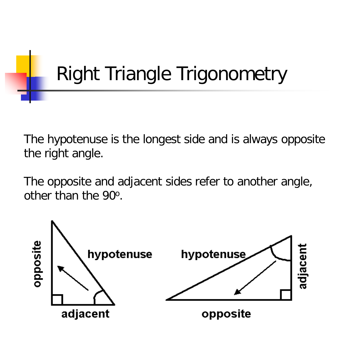# Right Triangle Trigonometry

The hypotenuse is the longest side and is always opposite the right angle.

The opposite and adjacent sides refer to another angle, other than the 90o.

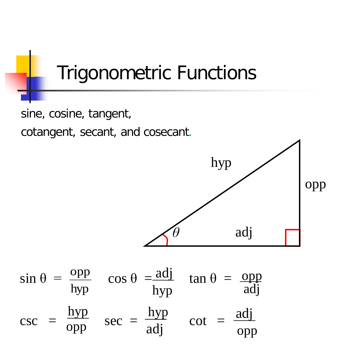

sine, cosine, tangent,

cotangent, secant, and cosecant.

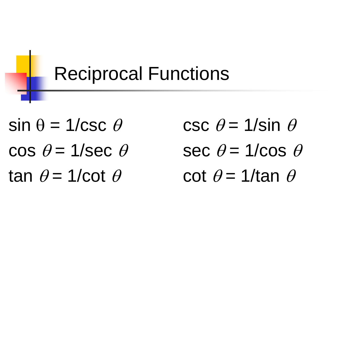

 $\sin \theta = 1/\csc \theta$  csc  $\theta = 1/\sin \theta$ cos  $\theta = 1/\text{sec }\theta$  sec  $\theta = 1/\text{cos }\theta$ tan  $\theta = 1/cot \theta$  cot  $\theta = 1/tan \theta$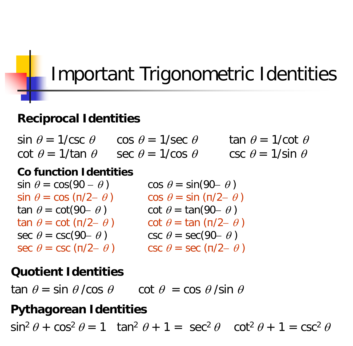## Important Trigonometric Identities

#### **Reciprocal Identities**

sin  $\theta = 1/\csc \theta$  cos  $\theta = 1/\sec \theta$  tan  $\theta = 1/\cot \theta$ cot  $\theta = 1/\tan \theta$  sec  $\theta = 1/\cos \theta$  csc  $\theta = 1/\sin \theta$ 

#### **Co function Identities**

 $\sin \theta = \cos(90 - \theta)$  cos  $\theta = \sin(90 - \theta)$  $\sin \theta = \cos (\pi/2 - \theta)$  cos  $\theta = \sin (\pi/2 - \theta)$ tan  $\theta$  = cot(90–  $\theta$ ) cot  $\theta$  = tan(90–  $\theta$ ) tan  $\theta$  = cot (π/2–  $\theta$ ) cot  $\theta$  = tan (π/2–  $\theta$ ) sec  $\theta = \csc(90 - \theta)$  csc  $\theta = \sec(90 - \theta)$ sec  $\theta$  = csc ( $\pi/2-\theta$ ) csc  $\theta$  = sec ( $\pi/2-\theta$ )

#### **Quotient Identities**

 $\tan \theta = \sin \theta / \cos \theta$  cot  $\theta = \cos \theta / \sin \theta$ 

#### **Pythagorean Identities**

 $\sin^2 \theta + \cos^2 \theta = 1$   $\tan^2 \theta + 1 = \sec^2 \theta$   $\cot^2 \theta + 1 = \csc^2 \theta$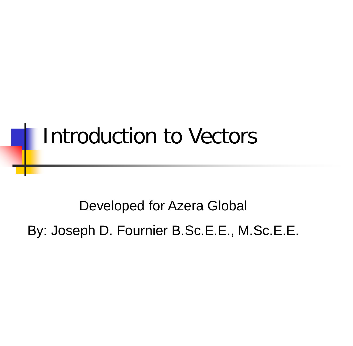## Introduction to Vectors

Developed for Azera Global By: Joseph D. Fournier B.Sc.E.E., M.Sc.E.E.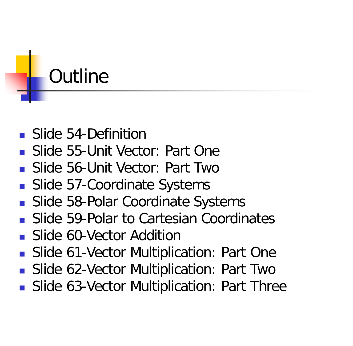

- Slide 54-Definition
- Slide 55-Unit Vector: Part One
- Slide 56-Unit Vector: Part Two
- Slide 57-Coordinate Systems
- **Slide 58-Polar Coordinate Systems**
- **Slide 59-Polar to Cartesian Coordinates**
- **Slide 60-Vector Addition**
- **Slide 61-Vector Multiplication: Part One**
- **Slide 62-Vector Multiplication: Part Two**
- **Slide 63-Vector Multiplication: Part Three**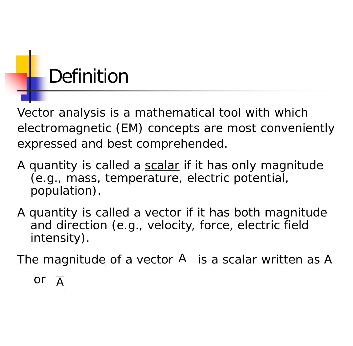## Definition

Vector analysis is a mathematical tool with which electromagnetic (EM) concepts are most conveniently expressed and best comprehended.

- A quantity is called a scalar if it has only magnitude (e.g., mass, temperature, electric potential, population).
- A quantity is called a vector if it has both magnitude and direction (e.g., velocity, force, electric field intensity).

The  $magnitude$  of a vector  $A$  is a scalar written as A</u>

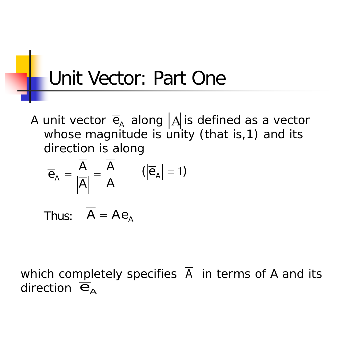#### Unit Vector: Part One

A unit vector  $\overline{e}_A$  along  $|A|$ is defined as a vector whose magnitude is unity (that is, 1) and its direction is along

$$
\overline{e}_A = \frac{\overline{A}}{|\overline{A}|} = \frac{\overline{A}}{A} \qquad (|\overline{e}_A| = 1)
$$

Thus:  $\overline{A} = A \overline{e}_A$ 

which completely specifies A in terms of A and its direction  $\overline{e}_A$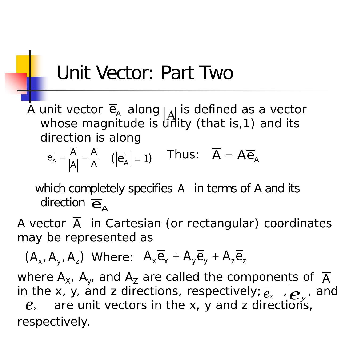#### Unit Vector: Part Two

A unit vector  $\overline{e}_A$  along  $|_A|$  is defined as a vector whose magnitude is  $\hat{\mathsf{u}}$ nity (that is,1) and its direction is along  $\overline{e}_{\text{\tiny A}}$ 

$$
\overline{e}_A = \frac{A}{|\overline{A}|} = \frac{A}{A} \quad (|\overline{e}_A| = 1) \quad \text{Thus:} \quad \overline{A} = A \overline{e}_A
$$

which completely specifies  $A$  in terms of  $A$  and its direction  $\overline{\mathbf{e}}_{\mathsf{A}}$ 

A vector A in Cartesian (or rectangular) coordinates may be represented as

 $(A_x, A_y, A_z)$  Where:  $A_x \overline{e}_x + A_y \overline{e}_y + A_z \overline{e}_z$ 

where  $\mathsf{A}_{\mathsf{X}^{\prime}}$   $\mathsf{A}_{\mathsf{y}^{\prime}}$  and  $\mathsf{A}_{\mathsf{Z}}$  are called the components of  $\overline{\mathsf{A}}$ in the x, y, and z directions, respectively;  $\overline{e_x}$ ,  $\overline{e_y}$ , and  $\overline{e_x}$  are unit vectors in the x, y and z directions. are unit vectors in the x, y and z directions, respectively. *ez*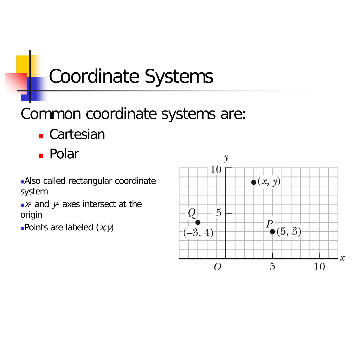## Coordinate Systems

#### Common coordinate systems are:

- **Cartesian**
- Polar

Also called rectangular coordinate system

 $\blacktriangleright$  and  $\blacktriangleright$  axes intersect at the origin

Points are labeled  $(x, y)$ 

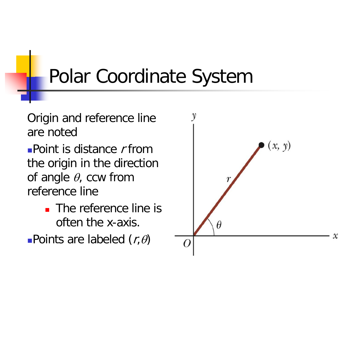## Polar Coordinate System

Origin and reference line are noted

**Point is distance**  $r$  **from** the origin in the direction of angle  $\theta$ , ccw from reference line

- **The reference line is** often the x-axis.
- **-Points are labeled**  $(r, \theta)$

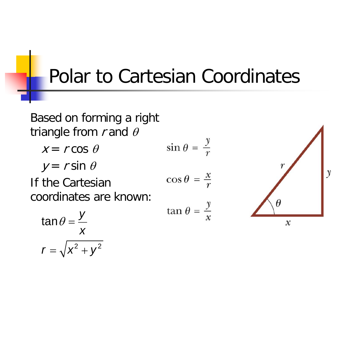#### Polar to Cartesian Coordinates

Based on forming a right triangle from  $r$  and  $\theta$ 

$$
x = r \cos \theta \qquad \qquad \sin \theta = \frac{y}{r}
$$

$$
y = r \sin \theta
$$

If the Cartesian coordinates are known:

$$
\cos \theta = \frac{x}{r}
$$
  

$$
\tan \theta = \frac{y}{x}
$$



$$
\tan \theta = \frac{y}{x}
$$

$$
r = \sqrt{x^2 + y^2}
$$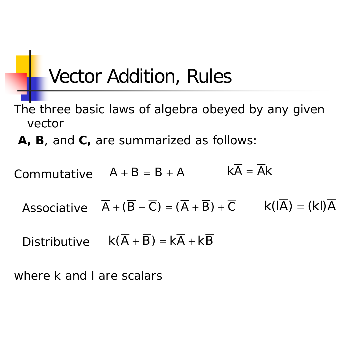#### Vector Addition, Rules

- The three basic laws of algebra obeyed by any given vector
- **A, B**, and **C,** are summarized as follows:
- Commutative  $A + B = B + A$  $k\overline{A} = \overline{A}k$ 
	- Associative  $\overline{A} + (\overline{B} + \overline{C}) = (\overline{A} + \overline{B}) + \overline{C}$  k(IA) = (kI)A
	- Distributive  $k(A + B) = kA + kB$

where k and l are scalars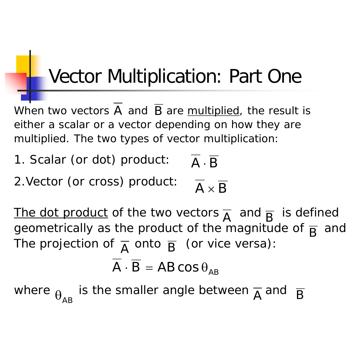## **Vector Multiplication: Part One**

When two vectors A and B are **multiplied**, the result is either a scalar or a vector depending on how they are multiplied. The two types of vector multiplication:

1. Scalar (or dot) product:  $\overline{A} \cdot \overline{B}$ 

2.Vector (or cross) product:

 $\overline{A} \times \overline{B}$ 

The dot product of the two vectors  $\overline{A}$  and  $\overline{R}$  is defined geometrically as the product of the magnitude of  $\overline{B}$  and The projection of  $\overline{A}$  onto  $\overline{B}$  (or vice versa): A  $\frac{d \ln \theta}{d}$  B

$$
\overline{A} \cdot \overline{B} = AB \cos \theta_{AB}
$$

where  $_{\Theta_{\sf AB}}$  is the smaller angle between  ${\overline{\sf A}}$  and  $\overline{\sf B}$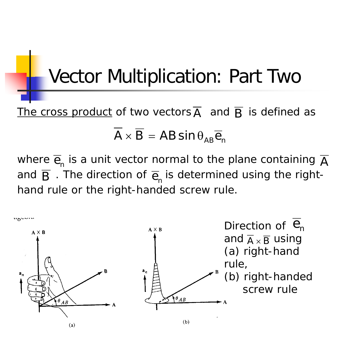#### Vector Multiplication: Part Two

The cross product of two vectors  $\overline{A}$  and  $\overline{B}$  is defined as  $\overline{A} \times \overline{B} = AB \sin \theta_{AB} \overline{e}_{n}$ 

where  $\overline{\mathrm{e}}_{\textrm{n}}$  is a unit vector normal to the plane containing  $\overline{\mathrm{A}}$ and  $\overline{\mathsf{B}}$  . The direction of  $\overline{\mathsf{e}}_\mathsf{n}$  is determined using the righthand rule or the right-handed screw rule.

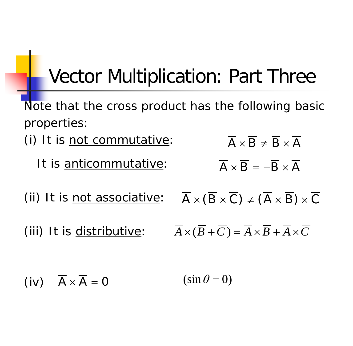### Vector Multiplication: Part Three

Note that the cross product has the following basic properties:

- (i) It is not commutative:
	- It is anticommutative:

(ii) It is not associative:

(iii) It is distributive:

$$
\overline{A} \times \overline{B} \neq \overline{B} \times \overline{A}
$$

$$
\overline{A} \times \overline{B} = -\overline{B} \times \overline{A}
$$

$$
\overline{A} \times (\overline{B} \times \overline{C}) \neq (\overline{A} \times \overline{B}) \times \overline{C}
$$

$$
\overline{A} \times (\overline{B} + \overline{C}) = \overline{A} \times \overline{B} + \overline{A} \times \overline{C}
$$

(iv)  $\overline{A} \times \overline{A} = 0$  (sin  $\theta = 0$ )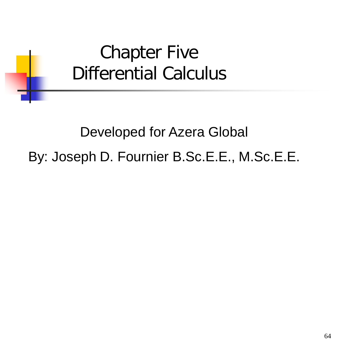#### Chapter Five Differential Calculus

#### Developed for Azera Global By: Joseph D. Fournier B.Sc.E.E., M.Sc.E.E.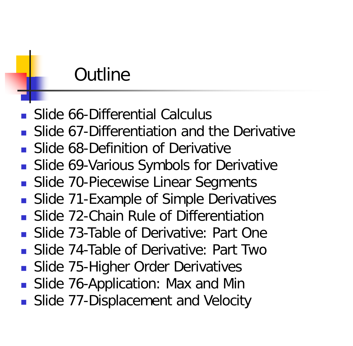#### **Outline**

- Slide 66-Differential Calculus
- Slide 67-Differentiation and the Derivative
- Slide 68-Definition of Derivative
- Slide 69-Various Symbols for Derivative
- Slide 70-Piecewise Linear Segments
- Slide 71-Example of Simple Derivatives
- Slide 72-Chain Rule of Differentiation
- Slide 73-Table of Derivative: Part One
- **Slide 74-Table of Derivative: Part Two**
- Slide 75-Higher Order Derivatives
- Slide 76-Application: Max and Min
- Slide 77-Displacement and Velocity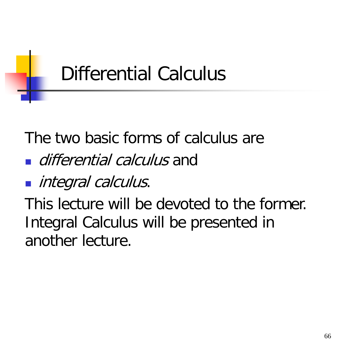

The two basic forms of calculus are

**differential calculus and** 

ntegral calculus.

This lecture will be devoted to the former. Integral Calculus will be presented in another lecture.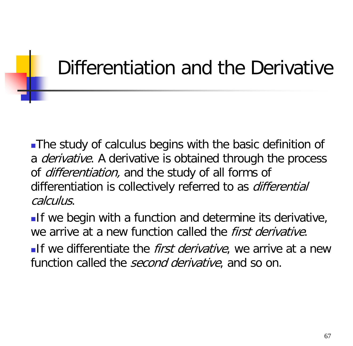## Differentiation and the Derivative

The study of calculus begins with the basic definition of a *derivative*. A derivative is obtained through the process of *differentiation*, and the study of all forms of differentiation is collectively referred to as *differential* calculus.

If we begin with a function and determine its derivative, we arrive at a new function called the *first derivative*.

**If** we differentiate the *first derivative*, we arrive at a new function called the *second derivative*, and so on.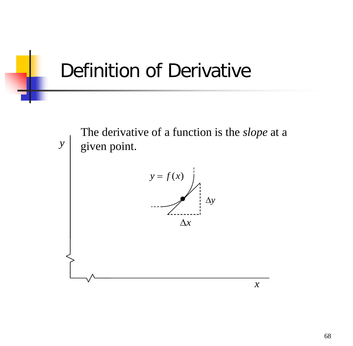

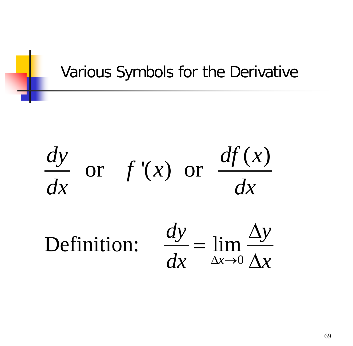#### Various Symbols for the Derivative

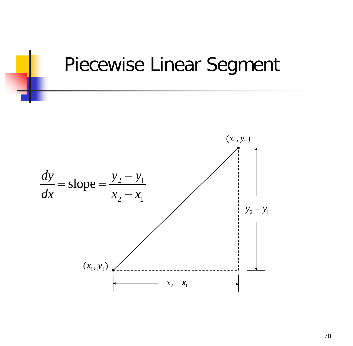

#### Piecewise Linear Segment

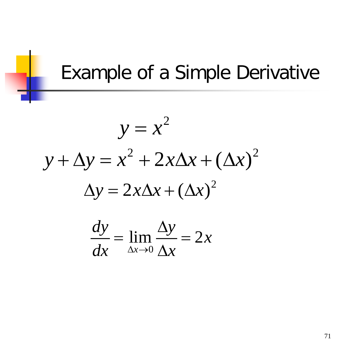#### Example of a Simple Derivative

$$
y = x2
$$
  
y + \Delta y = x<sup>2</sup> + 2x\Delta x + (\Delta x)<sup>2</sup>  

$$
\Delta y = 2x\Delta x + (\Delta x)^{2}
$$

$$
\frac{dy}{dx} = \lim_{\Delta x \to 0} \frac{\Delta y}{\Delta x} = 2x
$$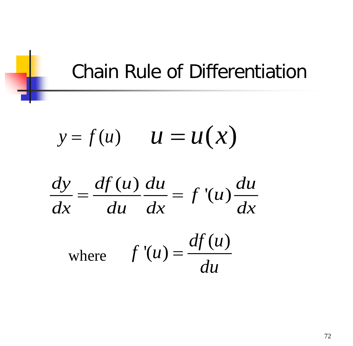#### Chain Rule of Differentiation

$$
y = f(u) \qquad u = u(x)
$$

$$
\frac{dy}{dx} = \frac{df(u)}{du} \frac{du}{dx} = f'(u) \frac{du}{dx}
$$

where 
$$
f'(u) = \frac{df(u)}{du}
$$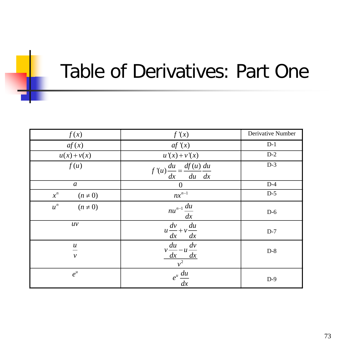## Table of Derivatives: Part One

| f(x)                                        | f'(x)                                                  | Derivative Number |
|---------------------------------------------|--------------------------------------------------------|-------------------|
| af(x)                                       | af'(x)                                                 | $D-1$             |
| $u(x)+v(x)$                                 | $u'(x) + v'(x)$                                        | $D-2$             |
| f(u)                                        | $f'(u) \frac{du}{dx} = \frac{df(u)}{du} \frac{du}{dx}$ | $D-3$             |
| $\boldsymbol{a}$                            | $\theta$                                               | $D-4$             |
| $x^n$<br>$(n \neq 0)$                       | $nx^{n-1}$                                             | $D-5$             |
| $u^n$<br>$(n \neq 0)$                       | $nu^{n-1} \frac{du}{dx}$                               | $D-6$             |
| uv                                          | $u\frac{dv}{dx} + v\frac{du}{dx}$                      | $D-7$             |
| $\boldsymbol{\mathcal{U}}$<br>$\mathcal{V}$ | $v \frac{du}{dx} - u \frac{dv}{dx}$                    | $D-8$             |
| $e^u$                                       | $e^u \frac{du}{dx}$                                    | $D-9$             |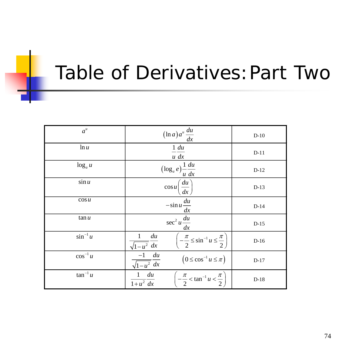#### Table of Derivatives:Part Two

| $a^{\mu}$     |                                                 | $(\ln a) a^u \frac{du}{dx}$                                       | $D-10$ |
|---------------|-------------------------------------------------|-------------------------------------------------------------------|--------|
| $\ln u$       | 1 du<br>$u$ dx                                  |                                                                   | $D-11$ |
| $\log_a u$    | $\left(\log_a e\right)\frac{1}{u}\frac{du}{dx}$ |                                                                   | $D-12$ |
| $\sin u$      |                                                 | $\cos u \left(\frac{du}{dx}\right)$                               | $D-13$ |
| $\cos u$      | $-\sin u \frac{du}{dx}$                         |                                                                   | $D-14$ |
| $\tan u$      | $\sec^2 u \frac{du}{dx}$                        |                                                                   | $D-15$ |
| $\sin^{-1} u$ | $\frac{1}{\sqrt{1-u^2}}\frac{du}{dx}$           | $\left(-\frac{\pi}{2} \leq \sin^{-1} u \leq \frac{\pi}{2}\right)$ | $D-16$ |
| $\cos^{-1} u$ | $\frac{-1}{\sqrt{1-u^2}}\frac{du}{dx}$          | $\left(0 \leq \cos^{-1} u \leq \pi\right)$                        | $D-17$ |
| $\tan^{-1} u$ | $1$ du<br>$\overline{1+u^2}$ dx                 | $\left(-\frac{\pi}{2} < \tan^{-1} u < \frac{\pi}{2}\right)$       | $D-18$ |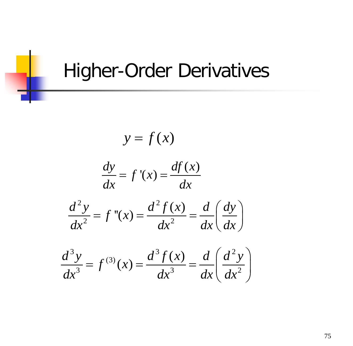#### Higher-Order Derivatives

$$
y = f(x)
$$
  

$$
\frac{dy}{dx} = f'(x) = \frac{df(x)}{dx}
$$
  

$$
\frac{d^2y}{dx^2} = f''(x) = \frac{d^2f(x)}{dx^2} = \frac{d}{dx}\left(\frac{dy}{dx}\right)
$$
  

$$
\frac{d^3y}{dx^3} = f^{(3)}(x) = \frac{d^3f(x)}{dx^3} = \frac{d}{dx}\left(\frac{d^2y}{dx^2}\right)
$$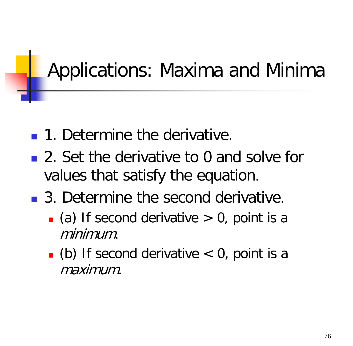# Applications: Maxima and Minima

- **1.** Determine the derivative.
- 2. Set the derivative to 0 and solve for values that satisfy the equation.
- 3. Determine the second derivative.
	- $\Box$  (a) If second derivative  $> 0$ , point is a minimum.
	- $\blacksquare$  (b) If second derivative  $\lt 0$ , point is a maximum.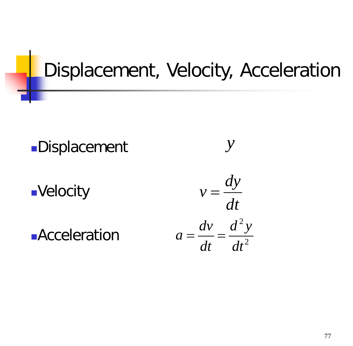# Displacement, Velocity, Acceleration

Displacement

**Acceleration** 

Velocity

 $v = \frac{dy}{dx}$ *dt* 2  $a = \frac{dv}{dt} = \frac{d^2y}{dt^2}$ *dt dt*  $=\frac{uv}{1}$ 

*y*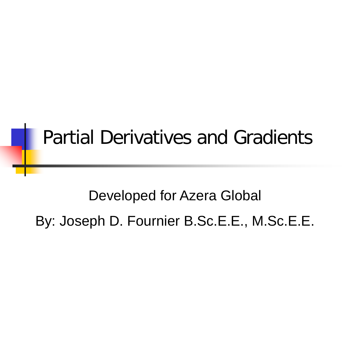## Partial Derivatives and Gradients

#### Developed for Azera Global

By: Joseph D. Fournier B.Sc.E.E., M.Sc.E.E.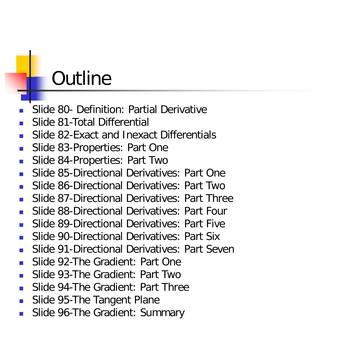### **Outline**

- Slide 80- Definition: Partial Derivative
- Slide 81-Total Differential
- Slide 82-Exact and Inexact Differentials
- Slide 83-Properties: Part One
- **Slide 84-Properties: Part Two**
- Slide 85-Directional Derivatives: Part One
- Slide 86-Directional Derivatives: Part Two
- Slide 87-Directional Derivatives: Part Three
- Slide 88-Directional Derivatives: Part Four
- Slide 89-Directional Derivatives: Part Five
- Slide 90-Directional Derivatives: Part Six
- Slide 91-Directional Derivatives: Part Seven
- Slide 92-The Gradient: Part One
- Slide 93-The Gradient: Part Two
- Slide 94-The Gradient: Part Three
- Slide 95-The Tangent Plane
- Slide 96-The Gradient: Summary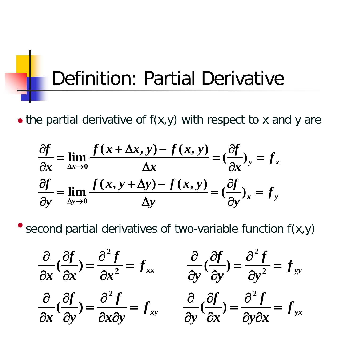# Definition: Partial Derivative

 $\bullet$  the partial derivative of  $f(x,y)$  with respect to x and y are

$$
\frac{\partial f}{\partial x} = \lim_{\Delta x \to 0} \frac{f(x + \Delta x, y) - f(x, y)}{\Delta x} = \left(\frac{\partial f}{\partial x}\right)_y = f_x
$$
  

$$
\frac{\partial f}{\partial y} = \lim_{\Delta y \to 0} \frac{f(x, y + \Delta y) - f(x, y)}{\Delta y} = \left(\frac{\partial f}{\partial y}\right)_x = f_y
$$

second partial derivatives of two-variable function f(x,y)

$$
\frac{\partial}{\partial x}(\frac{\partial f}{\partial x}) = \frac{\partial^2 f}{\partial x^2} = f_{xx} \qquad \frac{\partial}{\partial y}(\frac{\partial f}{\partial y}) = \frac{\partial^2 f}{\partial y^2} = f_{yy}
$$

$$
\frac{\partial}{\partial x}(\frac{\partial f}{\partial y}) = \frac{\partial^2 f}{\partial x \partial y} = f_{xy} \qquad \frac{\partial}{\partial y}(\frac{\partial f}{\partial x}) = \frac{\partial^2 f}{\partial y \partial x} = f_{yx}
$$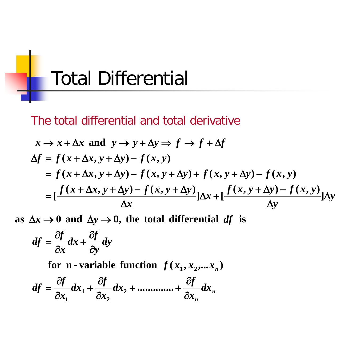

The total differential and total derivative

$$
x \to x + \Delta x \text{ and } y \to y + \Delta y \Rightarrow f \to f + \Delta f
$$
  
\n
$$
\Delta f = f(x + \Delta x, y + \Delta y) - f(x, y)
$$
  
\n
$$
= f(x + \Delta x, y + \Delta y) - f(x, y + \Delta y) + f(x, y + \Delta y) - f(x, y)
$$
  
\n
$$
= \left[ \frac{f(x + \Delta x, y + \Delta y) - f(x, y + \Delta y)}{\Delta x} \right] \Delta x + \left[ \frac{f(x, y + \Delta y) - f(x, y)}{\Delta y} \right] \Delta y
$$

as  $\Delta x \rightarrow 0$  and  $\Delta y \rightarrow 0$ , the total differential df is

$$
df = \frac{\partial f}{\partial x} dx + \frac{\partial f}{\partial y} dy
$$

for **n - variable function**  $f(x_1, x_2, ...x_n)$ 

$$
df = \frac{\partial f}{\partial x_1} dx_1 + \frac{\partial f}{\partial x_2} dx_2 + \dots + \frac{\partial f}{\partial x_n} dx_n
$$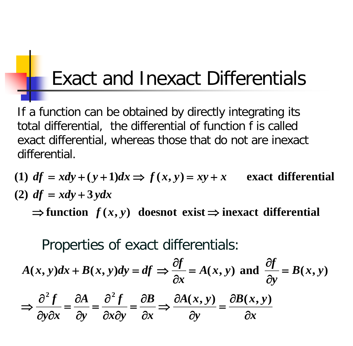# Exact and Inexact Differentials

If a function can be obtained by directly integrating its total differential, the differential of function f is called exact differential, whereas those that do not are inexact differential.

 $\Rightarrow$  function  $f(x, y)$  doesnot exist  $\Rightarrow$  inexact differential  $(2)$  *df* = *xdy* + 3*ydx* (1)  $df = xdy + (y+1)dx \Rightarrow f(x,y) = xy + x$  exact differential

Properties of exact differentials:

$$
A(x, y)dx + B(x, y)dy = df \Rightarrow \frac{\partial f}{\partial x} = A(x, y) \text{ and } \frac{\partial f}{\partial y} = B(x, y)
$$

$$
\Rightarrow \frac{\partial^2 f}{\partial y \partial x} = \frac{\partial A}{\partial y} = \frac{\partial^2 f}{\partial x \partial y} = \frac{\partial B}{\partial x} \Rightarrow \frac{\partial A(x, y)}{\partial y} = \frac{\partial B(x, y)}{\partial x}
$$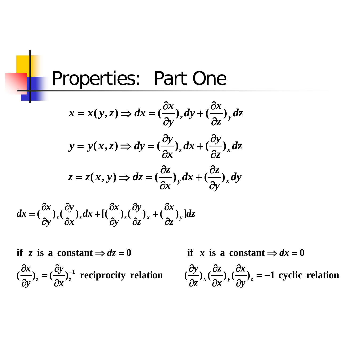#### Properties: Part One

$$
x = x(y, z) \Rightarrow dx = \left(\frac{\partial x}{\partial y}\right)_z dy + \left(\frac{\partial x}{\partial z}\right)_y dz
$$

$$
y = y(x, z) \Rightarrow dy = \left(\frac{\partial y}{\partial x}\right)_z dx + \left(\frac{\partial y}{\partial z}\right)_x dz
$$

$$
z = z(x, y) \Rightarrow dz = \left(\frac{\partial z}{\partial x}\right)_y dx + \left(\frac{\partial z}{\partial y}\right)_x dy
$$

$$
dx = \left(\frac{\partial x}{\partial y}\right)_z \left(\frac{\partial y}{\partial x}\right)_z dx + \left[\left(\frac{\partial x}{\partial y}\right)_z \left(\frac{\partial y}{\partial z}\right)_x + \left(\frac{\partial x}{\partial z}\right)_y\right] dz
$$

 $(\frac{\partial x}{\partial})_x = (\frac{\partial y}{\partial})_x^{-1}$  reciprocity relation  $(\frac{\partial y}{\partial})_x (\frac{\partial z}{\partial})_y (\frac{\partial x}{\partial})_z = -1$  cyclic relation if z is a constant  $\Rightarrow dz = 0$  if x is a constant  $\Rightarrow dx = 0$ ∂ ∂ ∂ ∂ = ∂  $\partial x$   $\partial y$   $\partial y$  $z = \left(\frac{\partial x}{\partial x}\right)z$  is expressed to  $\frac{\partial z}{\partial x}$   $\left(\frac{\partial x}{\partial x}\right)z^{x}$ *z y y y x*

if x is a constant  $\Rightarrow dx = 0$ 

 $\frac{\partial x}{\partial y}$ <sub>z</sub> = -∂ ∂ ∂ *y x x z*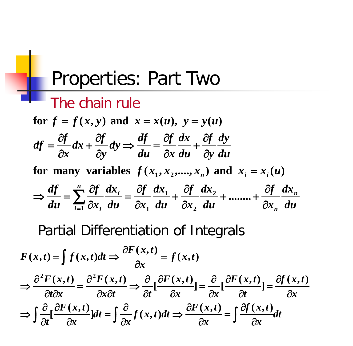#### Properties: Part Two

#### The chain rule

*du dx x f du dx x f du dx x f du dx x f du*  $\frac{df}{dx} = \sum_{n=1}^{n} \frac{\partial f}{\partial x} dx_i = \frac{\partial f}{\partial x} dx_1 + \frac{\partial f}{\partial x} dx_2 + \cdots + \frac{\partial f}{\partial x} dx_n$ **for many variables**  $f(x_1, x_2, \ldots, x_n)$  and  $x_i = x_i(u)$ *du dy y f du dx x f du*  $dy \Rightarrow \frac{df}{f}$ *y*  $dx + \frac{\partial f}{\partial x}$ *x*  $df = \frac{\partial f}{\partial x}$ for  $f = f(x, y)$  and  $x = x(u)$ ,  $y = y(u)$ *n i n*  $\sum_{i=1}^{\infty} \partial x_i$  *du*  $\partial x_1$  *du*  $\partial x_2$  *du*  $\partial x_3$ ∂ + ........+ ∂ ∂ + ∂ ∂ = ∂ ∂  $\Rightarrow \frac{dy}{du} = \sum_{i=1}^{N} \frac{\partial y}{\partial x_i} \frac{dx_i}{du} = \frac{\partial y}{\partial x_1} \frac{dx_1}{du} + \frac{\partial y}{\partial x_2} \frac{dx_2}{du} + \dots$ ∂ ∂ + ∂ ∂  $\Rightarrow \frac{dy}{dx} =$ ∂ ∂ + ∂ ∂ = **2 1**  $1 \alpha_i$  *uu*  $\alpha_1$ 

Partial Differentiation of Integrals

$$
F(x,t) = \int f(x,t)dt \Rightarrow \frac{\partial F(x,t)}{\partial x} = f(x,t)
$$
  

$$
\Rightarrow \frac{\partial^2 F(x,t)}{\partial t \partial x} = \frac{\partial^2 F(x,t)}{\partial x \partial t} \Rightarrow \frac{\partial}{\partial t} [\frac{\partial F(x,t)}{\partial x}] = \frac{\partial}{\partial x} [\frac{\partial F(x,t)}{\partial t}] = \frac{\partial f(x,t)}{\partial x}
$$
  

$$
\Rightarrow \int \frac{\partial}{\partial t} [\frac{\partial F(x,t)}{\partial x}] dt = \int \frac{\partial}{\partial x} f(x,t) dt \Rightarrow \frac{\partial F(x,t)}{\partial x} = \int \frac{\partial f(x,t)}{\partial x} dt
$$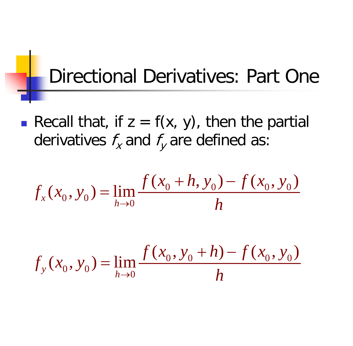## Directional Derivatives: Part One

Recall that, if  $z = f(x, y)$ , then the partial derivatives  $f_x$  and  $f_y$  are defined as:

$$
f_x(x_0, y_0) = \lim_{h \to 0} \frac{f(x_0 + h, y_0) - f(x_0, y_0)}{h}
$$

$$
f_y(x_0, y_0) = \lim_{h \to 0} \frac{f(x_0, y_0 + h) - f(x_0, y_0)}{h}
$$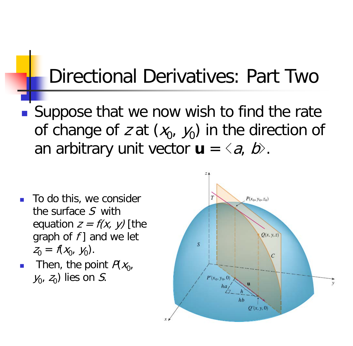#### Directional Derivatives: Part Two

■ Suppose that we now wish to find the rate of change of z at  $(x_0, y_0)$  in the direction of an arbitrary unit vector  $\mathbf{u} = \langle a, b \rangle$ .

- To do this, we consider the surface S with equation  $z = f(x, y)$  [the graph of  $f$ ] and we let  $Z_0 = f(X_0, y_0).$
- Then, the point  $P(X_0,$  $y_0$ ,  $z_0$ ) lies on S.

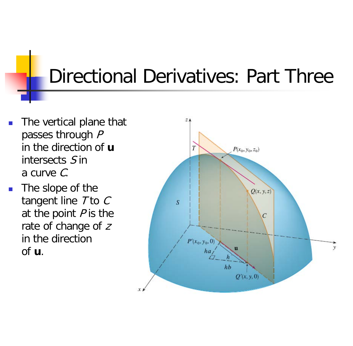# Directional Derivatives: Part Three

- The vertical plane that passes through P in the direction of **u** intersects S in a curve C.
- The slope of the tangent line  $T$  to  $C$ at the point  $P$  is the rate of change of <sup>z</sup> in the direction of **u**.

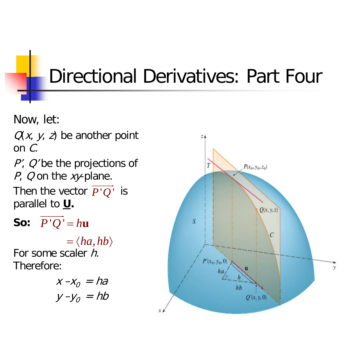# Directional Derivatives: Part Four

Now, let:

 $Q(x, y, z)$  be another point on  $C$ .

P', Q' be the projections of P, Q on the xy-plane. Then the vector  $P^{\,\prime}Q^{\,\prime}$  is . parallel to **U.**   $\overline{\phantom{a}}$  $P$  ' $Q$ 

**So:**  $\overrightarrow{P'Q'} = h\mathbf{u}$ 

For some scaler h. Therefore:  $= \langle ha, hb \rangle$ 

$$
x - x_0 = ha
$$
  

$$
y - y_0 = hb
$$

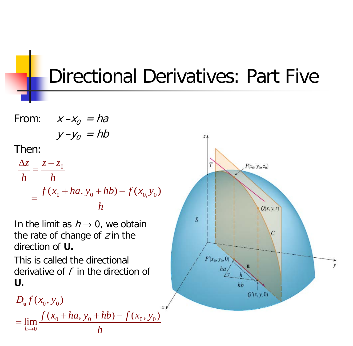Directional Derivatives: Part Five

From: 
$$
x - x_0 = ha
$$
  
\n $y - y_0 = hb$   
\nThen:  
\n
$$
\frac{\Delta z}{h} = \frac{z - z_0}{h}
$$
\n
$$
= \frac{f(x_0 + ha, y_0 + hb) - f(x_0, y_0)}{h}
$$

In the limit as  $h \rightarrow 0$ , we obtain the rate of change of  $z$  in the direction of **U.**

This is called the directional derivative of  $f$  in the direction of **U.**

$$
D_{\mathbf{u}}f(x_0, y_0)
$$
  
= 
$$
\lim_{h\to 0} \frac{f(x_0 + ha, y_0 + hb) - f(x_0, y_0)}{h}
$$

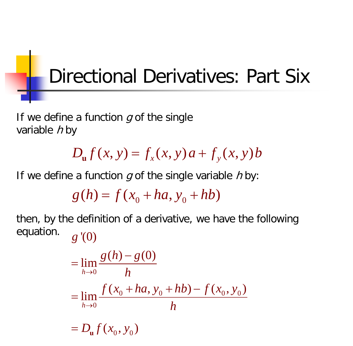# Directional Derivatives: Part Six

If we define a function  $g$  of the single variable  $h$  by

 $D_{\mathbf{u}} f(x, y) = f_{x}(x, y) a + f_{y}(x, y) b$ 

If we define a function  $g$  of the single variable  $h$  by:

 $g(h) = f(x_0 + ha, y_0 + hb)$ 

then, by the definition of a derivative, we have the following equation. '(0) *g*

$$
= \lim_{h \to 0} \frac{g(h) - g(0)}{h}
$$
  
= 
$$
\lim_{h \to 0} \frac{f(x_0 + ha, y_0 + hb) - f(x_0, y_0)}{h}
$$
  
= 
$$
D_u f(x_0, y_0)
$$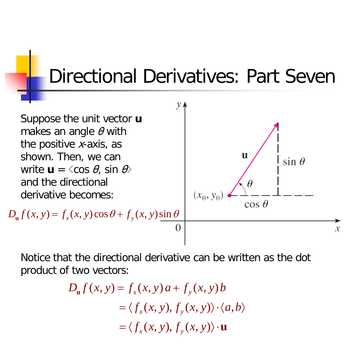#### Directional Derivatives: Part Seven



Notice that the directional derivative can be written as the dot product of two vectors:

$$
D_{\mathbf{u}}f(x, y) = f_x(x, y) a + f_y(x, y) b
$$
  
=  $\langle f_x(x, y), f_y(x, y) \rangle \cdot \langle a, b \rangle$   
=  $\langle f_x(x, y), f_y(x, y) \rangle \cdot \mathbf{u}$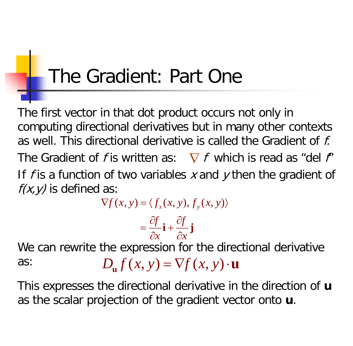# The Gradient: Part One

The first vector in that dot product occurs not only in computing directional derivatives but in many other contexts as well. This directional derivative is called the Gradient of f. The Gradient of f is written as:  $\nabla f$  which is read as "del f" If f is a function of two variables  $x$  and  $y$  then the gradient of  $f(x, y)$  is defined as:

 $\nabla f(x, y) = \langle f_x(x, y), f_y(x, y) \rangle$ 

$$
=\frac{\partial f}{\partial x}\mathbf{i}+\frac{\partial f}{\partial x}\mathbf{j}
$$

We can rewrite the expression for the directional derivative as:  $D_{\mathbf{u}} f(x, y) = \nabla f(x, y) \cdot \mathbf{u}$ 

This expresses the directional derivative in the direction of **u** as the scalar projection of the gradient vector onto **u**.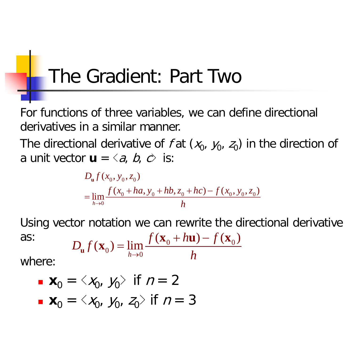# The Gradient: Part Two

For functions of three variables, we can define directional derivatives in a similar manner.

The directional derivative of f at  $(x_0, y_0, z_0)$  in the direction of a unit vector  $\mathbf{u} = \langle a, b, c \rangle$  is:

$$
D_{\mathbf{u}}f(x_0, y_0, z_0)
$$
  
= 
$$
\lim_{h\to 0} \frac{f(x_0 + ha, y_0 + hb, z_0 + hc) - f(x_0, y_0, z_0)}{h}
$$

Using vector notation we can rewrite the directional derivative as:  $D_{\mathbf{u}}f(\mathbf{x}_0) = \lim_{h \to 0} \frac{f(\mathbf{x}_0 + h\mathbf{u}) - f(\mathbf{x}_0)}{h}$ 

$$
D_{\mathbf{u}}f(\mathbf{x}_0) = \lim_{h \to 0} \frac{f(\mathbf{x}_0 + h\mathbf{u}) - f(\mathbf{x}_0)}{h}
$$

where:

\n- $$
\mathbf{x}_0 = \langle x_0, y_0 \rangle
$$
 if  $n = 2$
\n- $\mathbf{x}_0 = \langle x_0, y_0, z_0 \rangle$  if  $n = 3$
\n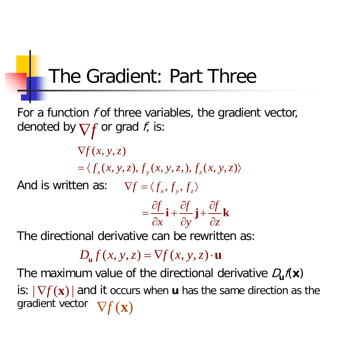# The Gradient: Part Three

For a function f of three variables, the gradient vector, denoted by  $\nabla \! f$  or grad  $f$ , is:

> $\nabla f(x, y, z)$  $=\langle f_x(x, y, z), f_y(x, y, z), f_z(x, y, z) \rangle$

And is written as:  $\nabla f = \langle f_x, f_y, f_z \rangle$ 

$$
=\frac{\partial f}{\partial x}\mathbf{i}+\frac{\partial f}{\partial y}\mathbf{j}+\frac{\partial f}{\partial z}\mathbf{k}
$$

The directional derivative can be rewritten as:

 $D_{\alpha} f(x, y, z) = \nabla f(x, y, z) \cdot \mathbf{u}$ 

The maximum value of the directional derivative  $D_{\mathbf{u}}f(\mathbf{x})$ is:  $|\nabla f(\mathbf{x})|$  and it occurs when **u** has the same direction as the gradient vector  $\nabla f(\mathbf{x})$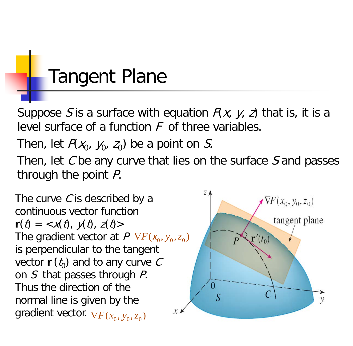# Tangent Plane

Suppose S is a surface with equation  $F(x, y, z)$  that is, it is a level surface of a function  $F$  of three variables.

Then, let  $P(x_0, y_0, z_0)$  be a point on S.

Then, let  $C$  be any curve that lies on the surface  $S$  and passes through the point P.

The curve  $C$  is described by a continuous vector function  $\mathbf{r}(t) = \langle x(t), y(t), z(t) \rangle$ The gradient vector at  $P \nabla F(x_0, y_0, z_0)$ is perpendicular to the tangent vector  $\mathbf{r}'(t_0)$  and to any curve C on S that passes through P. Thus the direction of the normal line is given by the  $\mathcal{X}$ gradient vector.  $\nabla F(x_0, y_0, z_0)$ 

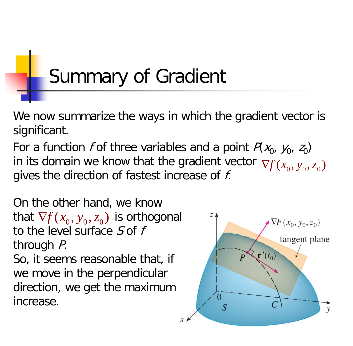# Summary of Gradient

We now summarize the ways in which the gradient vector is significant.

For a function f of three variables and a point  $P(x_0, y_0, z_0)$ in its domain we know that the gradient vector  $\nabla \! f(x_0,y_0,z_0)$ gives the direction of fastest increase of *f*.

On the other hand, we know that  $\nabla f(x_0, y_0, z_0)$  is orthogonal to the level surface  $S$  of  $f$ through P. So, it seems reasonable that, if we move in the perpendicular

direction, we get the maximum increase.

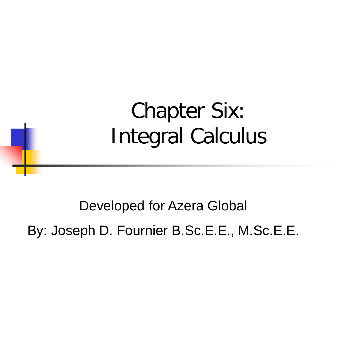# Chapter Six: Integral Calculus

Developed for Azera Global

By: Joseph D. Fournier B.Sc.E.E., M.Sc.E.E.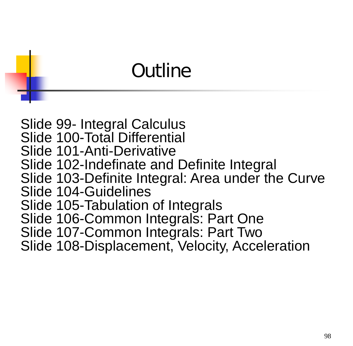# **Outline**

Slide 99- Integral Calculus Slide 100-Total Differential Slide 101-Anti-Derivative Slide 102-Indefinate and Definite Integral Slide 103-Definite Integral: Area under the Curve Slide 104-Guidelines Slide 105-Tabulation of Integrals Slide 106-Common Integrals: Part One Slide 107-Common Integrals: Part Two Slide 108-Displacement, Velocity, Acceleration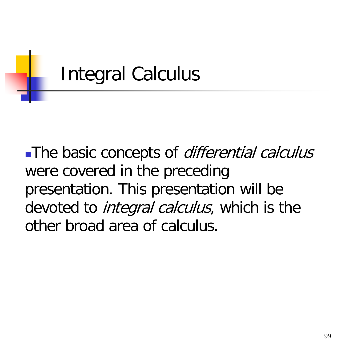

The basic concepts of *differential calculus* were covered in the preceding presentation. This presentation will be devoted to *integral calculus*, which is the other broad area of calculus.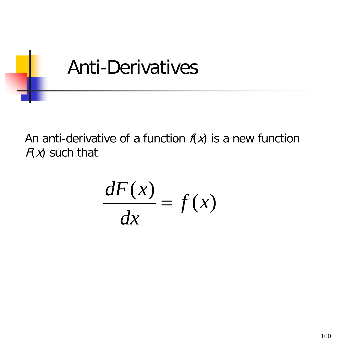

An anti-derivative of a function  $f(x)$  is a new function  $F(x)$  such that

$$
\frac{dF(x)}{dx} = f(x)
$$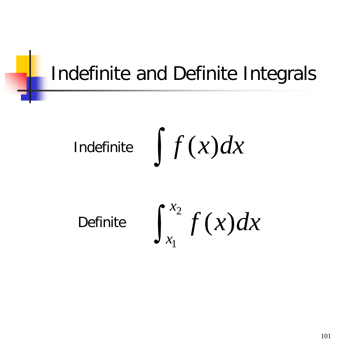# Indefinite and Definite Integrals

$$
\text{Indefinite} \quad \int f(x) dx
$$

Definite

$$
\int_{x_1}^{x_2} f(x) dx
$$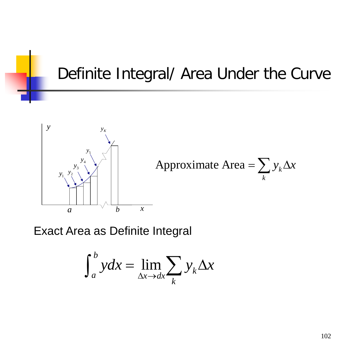#### Definite Integral/ Area Under the Curve



Exact Area as Definite Integral

$$
\int_{a}^{b} ydx = \lim_{\Delta x \to dx} \sum_{k} y_{k} \Delta x
$$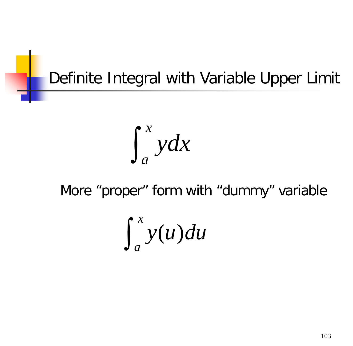#### Definite Integral with Variable Upper Limit

$$
\int_{a}^{x} y dx
$$

#### More "proper" form with "dummy" variable

$$
\int_a^x y(u)du
$$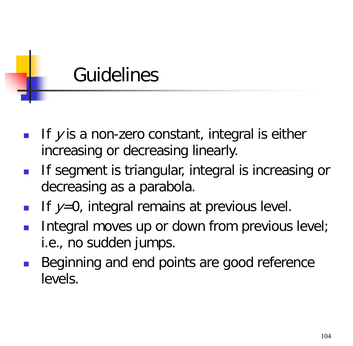# **Guidelines**

- If  $\nu$  is a non-zero constant, integral is either increasing or decreasing linearly.
- If segment is triangular, integral is increasing or decreasing as a parabola.
- If  $y=0$ , integral remains at previous level.
- **Integral moves up or down from previous level;** i.e., no sudden jumps.
- Beginning and end points are good reference levels.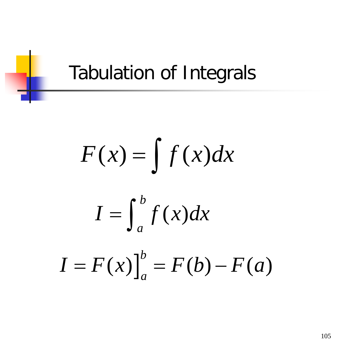# Tabulation of Integrals

$$
F(x) = \int f(x) dx
$$

$$
I=\int_{a}^{b}f(x)dx
$$

$$
I = F(x)\big]_a^b = F(b) - F(a)
$$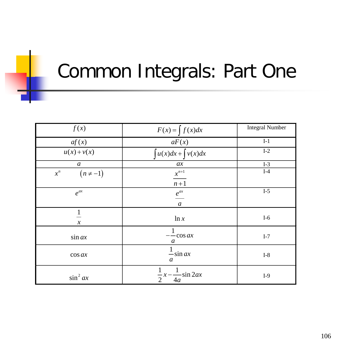# Common Integrals: Part One

| f(x)                   | $F(x) = \int f(x)dx$                     | <b>Integral Number</b> |
|------------------------|------------------------------------------|------------------------|
| af(x)                  | aF(x)                                    | $I-1$                  |
| $u(x)+v(x)$            | $\int u(x)dx + \int v(x)dx$              | $I-2$                  |
| $\boldsymbol{a}$       | ax                                       | $I-3$                  |
| $(n \neq -1)$<br>$x^n$ | $x^{n+1}$<br>$n+1$                       | $I-4$                  |
| $e^{ax}$               | $\frac{e^{ax}}{a^x}$<br>$\boldsymbol{a}$ | $I-5$                  |
| $\boldsymbol{\chi}$    | ln x                                     | $I-6$                  |
| $\sin ax$              | $-\frac{1}{\cos ax}$<br>a                | $I-7$                  |
| $\cos ax$              | $\frac{1}{-\sin ax}$<br>a                | $I-8$                  |
| $\sin^2 ax$            | $\frac{1}{2}x - \frac{1}{4a}\sin 2ax$    | $I-9$                  |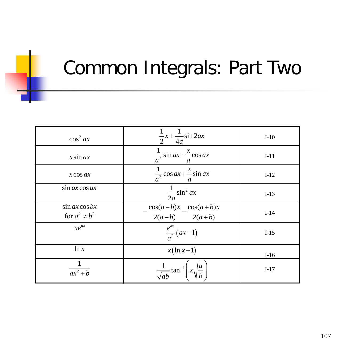## Common Integrals: Part Two

| $\cos^2 ax$                             | $\frac{1}{2}x + \frac{1}{4a}\sin 2ax$              | $I-10$ |
|-----------------------------------------|----------------------------------------------------|--------|
| $x \sin ax$                             | $\frac{1}{a^2}\sin ax - \frac{x}{a}\cos ax$        | $I-11$ |
| $x \cos ax$                             | $\frac{1}{a^2} \cos ax + \frac{x}{a} \sin ax$<br>a | $I-12$ |
| $\sin ax \cos ax$                       | $\frac{1}{2a}\sin^2 ax$                            | $I-13$ |
| $\sin ax \cos bx$<br>for $a^2 \neq b^2$ | $cos(a-b)x$ $cos(a+b)x$<br>$2(a-b)$ $2(a+b)$       | $I-14$ |
| $xe^{ax}$                               | $\frac{e^{ax}}{a^2}(ax-1)$                         | $I-15$ |
| ln x                                    | $x(\ln x-1)$                                       | $I-16$ |
| $\overline{ax^2+b}$                     | $\frac{1}{\sqrt{ab}}$ tan <sup>-1</sup>            | $I-17$ |